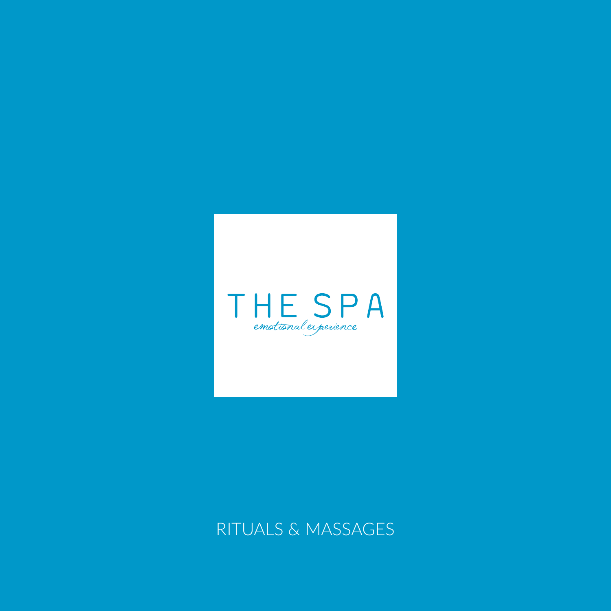

# RITUALS & MASSAGES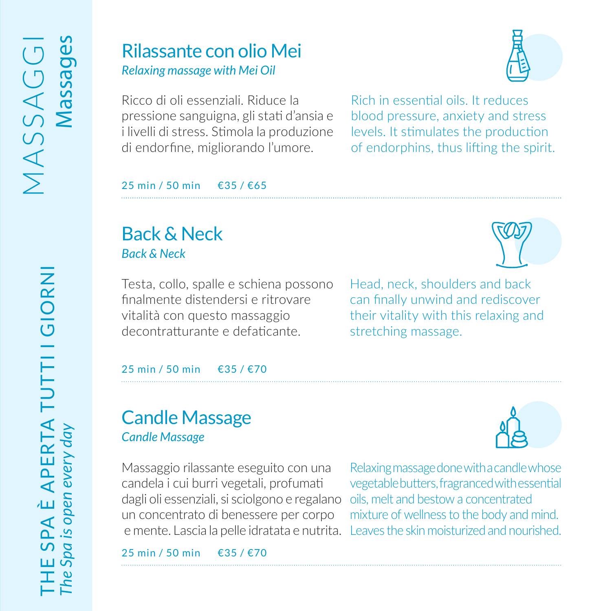#### Rilassante con olio Mei *Relaxing massage with Mei Oil*

Ricco di oli essenziali. Riduce la pressione sanguigna, gli stati d'ansia e i livelli di stress. Stimola la produzione di endorfine, migliorando l'umore.

Rich in essential oils. It reduces blood pressure, anxiety and stress levels. It stimulates the production of endorphins, thus lifting the spirit.

25 min / 50 min €35 / €65

# Back & Neck *Back & Neck*

Testa, collo, spalle e schiena possono finalmente distendersi e ritrovare vitalità con questo massaggio decontratturante e defaticante.

Head, neck, shoulders and back can finally unwind and rediscover their vitality with this relaxing and stretching massage.

25 min / 50 min €35 / €70

## Candle Massage *Candle Massage*

Massaggio rilassante eseguito con una candela i cui burri vegetali, profumati dagli oli essenziali, si sciolgono e regalano un concentrato di benessere per corpo

25 min / 50 min €35 / €70









E SPA È APERTA TUTTI I GIORNI<br>Spa is open every day THE SPA È APERTA TUTTI I GIORNI *The Spa is open every day*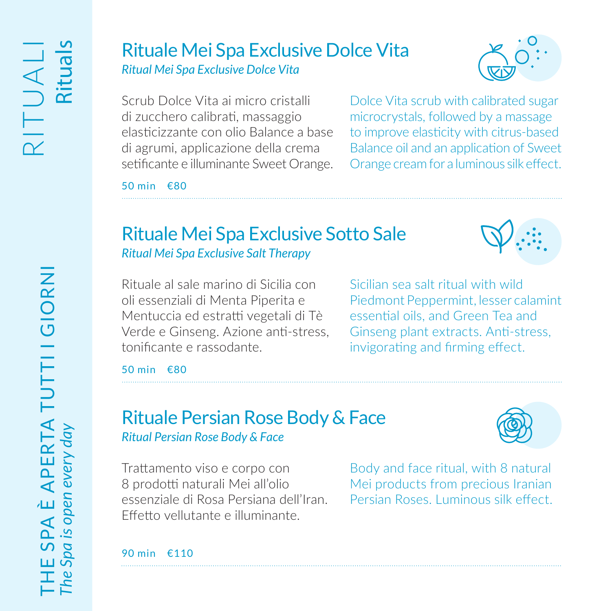# Rituale Mei Spa Exclusive Dolce Vita *Ritual Mei Spa Exclusive Dolce Vita*



Scrub Dolce Vita ai micro cristalli di zucchero calibrati, massaggio elasticizzante con olio Balance a base di agrumi, applicazione della crema setificante e illuminante Sweet Orange.

Dolce Vita scrub with calibrated sugar microcrystals, followed by a massage to improve elasticity with citrus-based Balance oil and an application of Sweet Orange cream for a luminous silk effect.

50 min €80

# Rituale Mei Spa Exclusive Sotto Sale *Ritual Mei Spa Exclusive Salt Therapy*



Rituale al sale marino di Sicilia con oli essenziali di Menta Piperita e Mentuccia ed estratti vegetali di Tè Verde e Ginseng. Azione anti-stress, tonificante e rassodante.

Sicilian sea salt ritual with wild Piedmont Peppermint, lesser calamint essential oils, and Green Tea and Ginseng plant extracts. Anti-stress, invigorating and firming effect.

50 min €80

## Rituale Persian Rose Body & Face *Ritual Persian Rose Body & Face*



Trattamento viso e corpo con 8 prodotti naturali Mei all'olio essenziale di Rosa Persiana dell'Iran. Effetto vellutante e illuminante.

Body and face ritual, with 8 natural Mei products from precious Iranian Persian Roses. Luminous silk effect.

90 min €110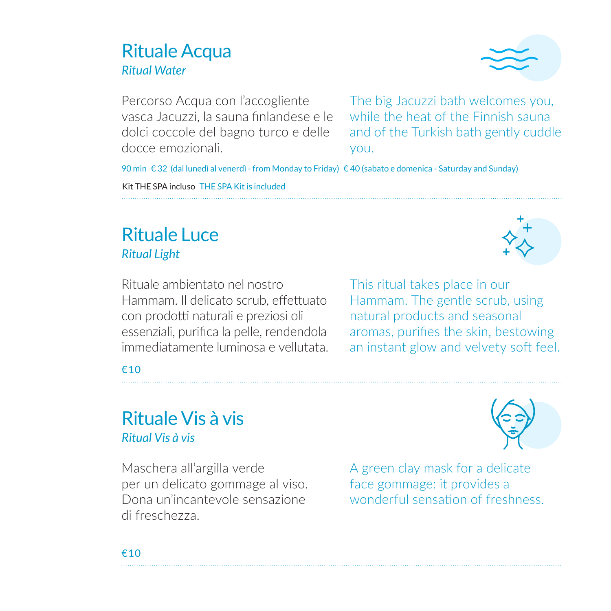#### Rituale Acqua *Ritual Water*



Percorso Acqua con l'accogliente vasca Jacuzzi, la sauna finlandese e le dolci coccole del bagno turco e delle docce emozionali.

The big Jacuzzi bath welcomes you, while the heat of the Finnish sauna and of the Turkish bath gently cuddle you.

90 min € 32 (dal lunedì al venerdì - from Monday to Friday) € 40 (sabato e domenica - Saturday and Sunday)

Kit THE SPA incluso THE SPA Kit is included

# Rituale Luce *Ritual Light*

Rituale ambientato nel nostro Hammam. Il delicato scrub, effettuato con prodotti naturali e preziosi oli essenziali, purifica la pelle, rendendola immediatamente luminosa e vellutata. This ritual takes place in our Hammam. The gentle scrub, using natural products and seasonal aromas, purifies the skin, bestowing an instant glow and velvety soft feel.

€10

## Rituale Vis à vis *Ritual Vis à vis*

Maschera all'argilla verde per un delicato gommage al viso. Dona un'incantevole sensazione di freschezza.



A green clay mask for a delicate face gommage: it provides a wonderful sensation of freshness.

€10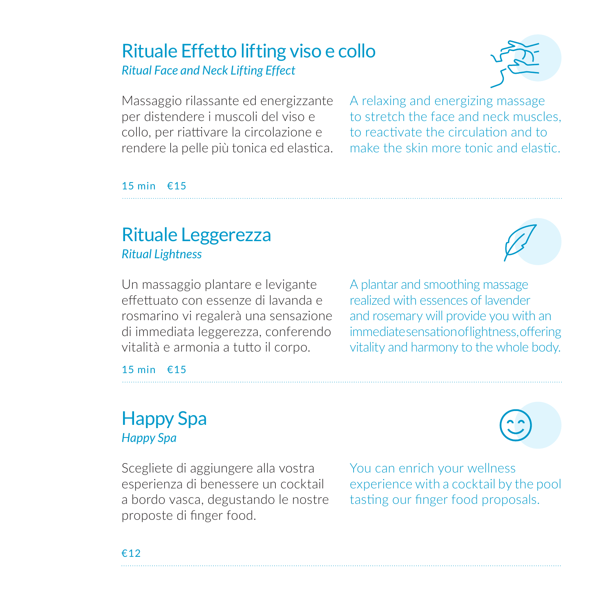# Rituale Effetto lifting viso e collo *Ritual Face and Neck Lifting Effect*



Massaggio rilassante ed energizzante per distendere i muscoli del viso e collo, per riattivare la circolazione e rendere la pelle più tonica ed elastica.

A relaxing and energizing massage to stretch the face and neck muscles, to reactivate the circulation and to make the skin more tonic and elastic.

#### 15 min €15

# Rituale Leggerezza *Ritual Lightness*

Un massaggio plantare e levigante effettuato con essenze di lavanda e rosmarino vi regalerà una sensazione di immediata leggerezza, conferendo vitalità e armonia a tutto il corpo.

A plantar and smoothing massage realized with essences of lavender and rosemary will provide you with an immediate sensation of lightness, offering vitality and harmony to the whole body.

15 min €15

## Happy Spa *Happy Spa*

Scegliete di aggiungere alla vostra esperienza di benessere un cocktail a bordo vasca, degustando le nostre proposte di finger food.

You can enrich your wellness experience with a cocktail by the pool tasting our finger food proposals.

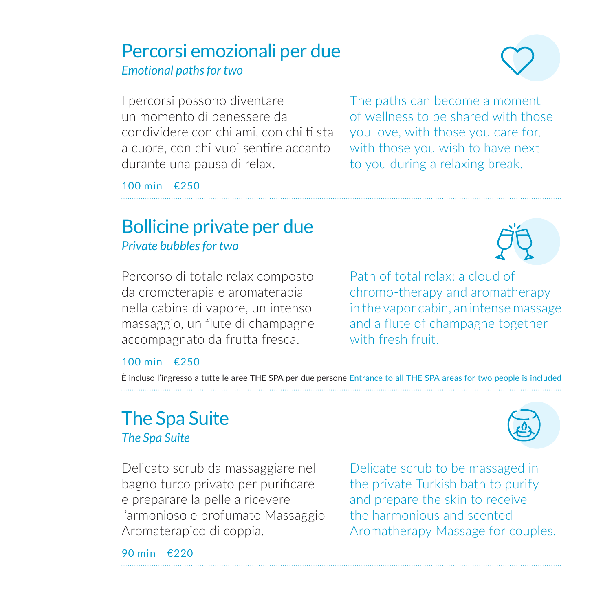#### Percorsi emozionali per due *Emotional paths for two*

The paths can become a moment of wellness to be shared with those you love, with those you care for, with those you wish to have next to you during a relaxing break.

I percorsi possono diventare un momento di benessere da condividere con chi ami, con chi ti sta a cuore, con chi vuoi sentire accanto durante una pausa di relax.

100 min €250

# Bollicine private per due *Private bubbles for two*

Percorso di totale relax composto da cromoterapia e aromaterapia nella cabina di vapore, un intenso massaggio, un flute di champagne accompagnato da frutta fresca.

Path of total relax: a cloud of chromo-therapy and aromatherapy in the vapor cabin, an intense massage and a flute of champagne together with fresh fruit.

#### 100 min €250

È incluso l'ingresso a tutte le aree THE SPA per due persone Entrance to all THE SPA areas for two people is included

# The Spa Suite *The Spa Suite*

Delicato scrub da massaggiare nel bagno turco privato per purificare e preparare la pelle a ricevere l'armonioso e profumato Massaggio Aromaterapico di coppia.

Delicate scrub to be massaged in the private Turkish bath to purify and prepare the skin to receive the harmonious and scented Aromatherapy Massage for couples.

90 min €220





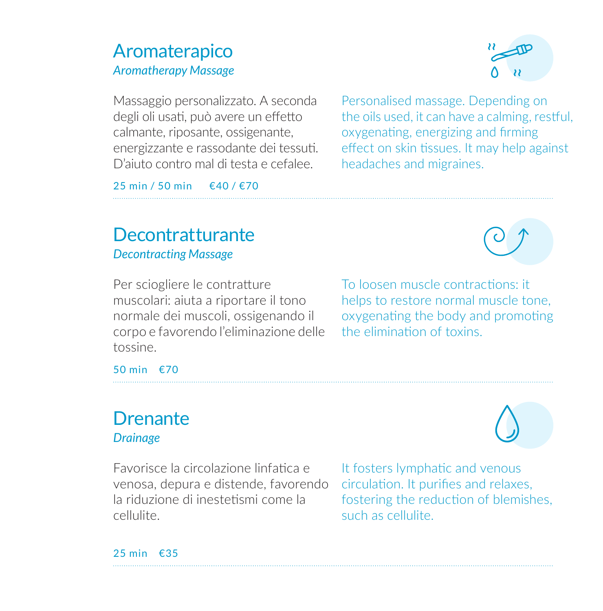## Aromaterapico *Aromatherapy Massage*



Massaggio personalizzato. A seconda degli oli usati, può avere un effetto calmante, riposante, ossigenante, energizzante e rassodante dei tessuti. D'aiuto contro mal di testa e cefalee.

Personalised massage. Depending on the oils used, it can have a calming, restful, oxygenating, energizing and firming effect on skin tissues. It may help against headaches and migraines.

25 min / 50 min €40 / €70

# **Decontratturante** *Decontracting Massage*

Per sciogliere le contratture muscolari: aiuta a riportare il tono normale dei muscoli, ossigenando il corpo e favorendo l'eliminazione delle tossine.

To loosen muscle contractions: it helps to restore normal muscle tone, oxygenating the body and promoting the elimination of toxins.

50 min €70

#### **Drenante** *Drainage*

Favorisce la circolazione linfatica e venosa, depura e distende, favorendo la riduzione di inestetismi come la cellulite.

It fosters lymphatic and venous circulation. It purifies and relaxes, fostering the reduction of blemishes, such as cellulite.

25 min €35